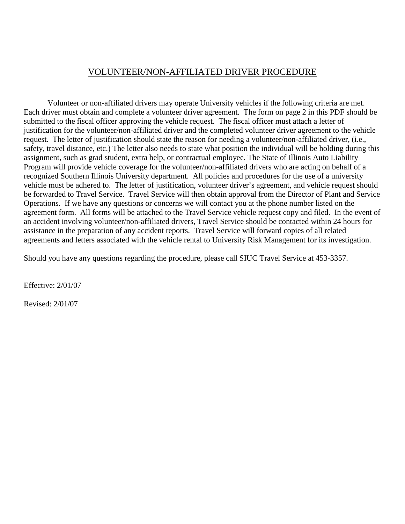## VOLUNTEER/NON-AFFILIATED DRIVER PROCEDURE

 Volunteer or non-affiliated drivers may operate University vehicles if the following criteria are met. Each driver must obtain and complete a volunteer driver agreement. The form on page 2 in this PDF should be submitted to the fiscal officer approving the vehicle request. The fiscal officer must attach a letter of justification for the volunteer/non-affiliated driver and the completed volunteer driver agreement to the vehicle request. The letter of justification should state the reason for needing a volunteer/non-affiliated driver, (i.e., safety, travel distance, etc.) The letter also needs to state what position the individual will be holding during this assignment, such as grad student, extra help, or contractual employee. The State of Illinois Auto Liability Program will provide vehicle coverage for the volunteer/non-affiliated drivers who are acting on behalf of a recognized Southern Illinois University department. All policies and procedures for the use of a university vehicle must be adhered to. The letter of justification, volunteer driver's agreement, and vehicle request should be forwarded to Travel Service. Travel Service will then obtain approval from the Director of Plant and Service Operations. If we have any questions or concerns we will contact you at the phone number listed on the agreement form. All forms will be attached to the Travel Service vehicle request copy and filed. In the event of an accident involving volunteer/non-affiliated drivers, Travel Service should be contacted within 24 hours for assistance in the preparation of any accident reports. Travel Service will forward copies of all related agreements and letters associated with the vehicle rental to University Risk Management for its investigation.

Should you have any questions regarding the procedure, please call SIUC Travel Service at 453-3357.

Effective: 2/01/07

Revised: 2/01/07